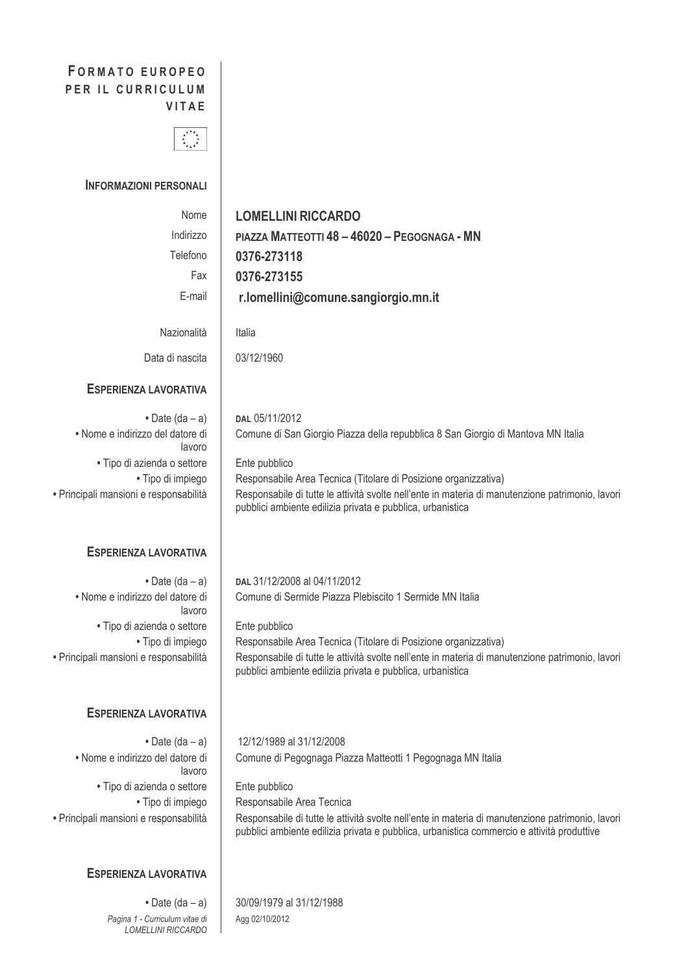# **FORMATO EUROPEO** PER IL CURRICULUM VITAE



### **INFORMAZIONI PERSONALI**

| Nome<br>Indirizzo<br>Telefono<br>Fax<br>E-mail                                                                                                                      | <b>LOMELLINI RICCARDO</b><br>PIAZZA MATTEOTTI 48 - 46020 - PEGOGNAGA - MN<br>0376-273118<br>0376-273155<br>r.lomellini@comune.sangiorgio.mn.it                                                                                                                                                                                                           |
|---------------------------------------------------------------------------------------------------------------------------------------------------------------------|----------------------------------------------------------------------------------------------------------------------------------------------------------------------------------------------------------------------------------------------------------------------------------------------------------------------------------------------------------|
| Nazionalità                                                                                                                                                         | Italia                                                                                                                                                                                                                                                                                                                                                   |
| Data di nascita                                                                                                                                                     | 03/12/1960                                                                                                                                                                                                                                                                                                                                               |
| ESPERIENZA LAVORATIVA                                                                                                                                               |                                                                                                                                                                                                                                                                                                                                                          |
| • Date $(da - a)$<br>· Nome e indirizzo del datore di<br>lavoro<br>· Tipo di azienda o settore<br>· Tipo di impiego<br>· Principali mansioni e responsabilità       | DAL 05/11/2012<br>Comune di San Giorgio Piazza della repubblica 8 San Giorgio di Mantova MN Italia<br>Ente pubblico<br>Responsabile Area Tecnica (Titolare di Posizione organizzativa)<br>Responsabile di tutte le attività svolte nell'ente in materia di manutenzione patrimonio, lavori<br>pubblici ambiente edilizia privata e pubblica, urbanistica |
| <b>ESPERIENZA LAVORATIVA</b>                                                                                                                                        |                                                                                                                                                                                                                                                                                                                                                          |
| $\bullet$ Date (da - a)<br>· Nome e indirizzo del datore di<br>lavoro<br>· Tipo di azienda o settore<br>• Tipo di impiego<br>· Principali mansioni e responsabilità | DAL 31/12/2008 al 04/11/2012<br>Comune di Sermide Piazza Plebiscito 1 Sermide MN Italia<br>Ente pubblico<br>Responsabile Area Tecnica (Titolare di Posizione organizzativa)<br>Responsabile di tutte le attività svolte nell'ente in materia di manutenzione patrimonio, lavori<br>pubblici ambiente edilizia privata e pubblica, urbanistica            |
| <b>ESPERIENZA LAVORATIVA</b>                                                                                                                                        |                                                                                                                                                                                                                                                                                                                                                          |
| • Date $(da - a)$<br>• Nome e indirizzo del datore di<br>lavoro<br>• Tipo di azienda o settore<br>• Tipo di impiego<br>· Principali mansioni e responsabilità       | 12/12/1989 al 31/12/2008<br>Comune di Pegognaga Piazza Matteotti 1 Pegognaga MN Italia<br>Ente pubblico<br>Responsabile Area Tecnica<br>Responsabile di tutte le attività svolte nell'ente in materia di manutenzione patrimonio, lavori<br>pubblici ambiente edilizia privata e pubblica, urbanistica commercio e attività produttive                   |
| <b>ESPERIENZA LAVORATIVA</b>                                                                                                                                        |                                                                                                                                                                                                                                                                                                                                                          |
| • Date $(da - a)$<br>Pagina 1 - Curriculum vitae di<br>LOMELLINI RICCARDO                                                                                           | 30/09/1979 al 31/12/1988<br>Agg 02/10/2012                                                                                                                                                                                                                                                                                                               |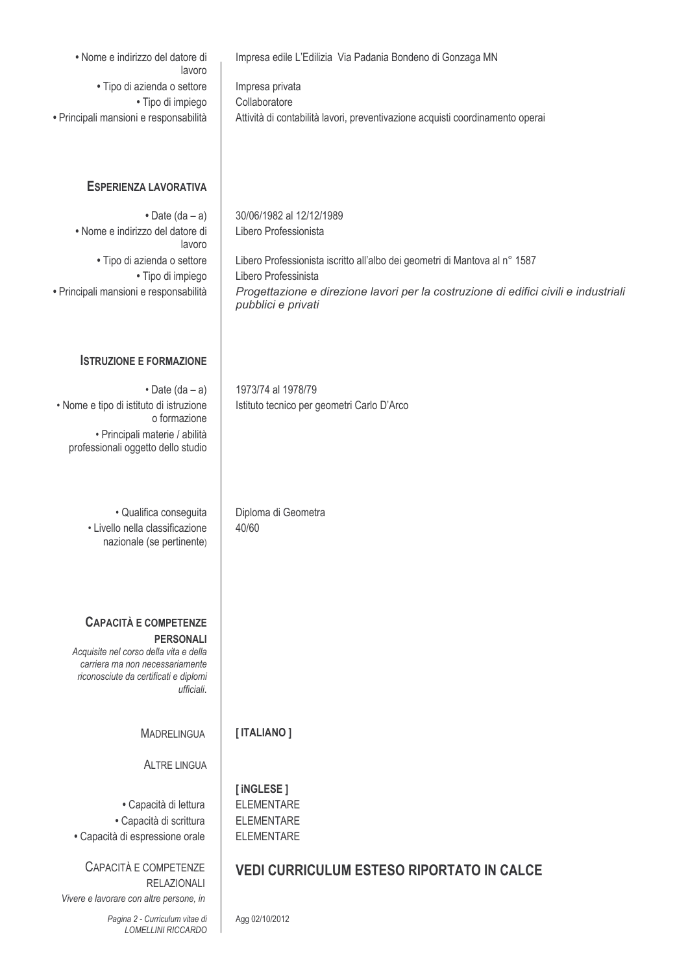| • Nome e indirizzo del datore di<br>lavoro<br>· Tipo di azienda o settore<br>· Tipo di impiego<br>· Principali mansioni e responsabilità                                             | Impresa edile L'Edilizia Via Padania Bondeno di Gonzaga MN<br>Impresa privata<br>Collaboratore<br>Attività di contabilità lavori, preventivazione acquisti coordinamento operai                                                                                      |
|--------------------------------------------------------------------------------------------------------------------------------------------------------------------------------------|----------------------------------------------------------------------------------------------------------------------------------------------------------------------------------------------------------------------------------------------------------------------|
| <b>ESPERIENZA LAVORATIVA</b>                                                                                                                                                         |                                                                                                                                                                                                                                                                      |
| • Date $(da - a)$<br>· Nome e indirizzo del datore di<br>lavoro<br>· Tipo di azienda o settore<br>· Tipo di impiego<br>· Principali mansioni e responsabilità                        | 30/06/1982 al 12/12/1989<br>Libero Professionista<br>Libero Professionista iscritto all'albo dei geometri di Mantova al n° 1587<br>Libero Professinista<br>Progettazione e direzione lavori per la costruzione di edifici civili e industriali<br>pubblici e privati |
| <b>ISTRUZIONE E FORMAZIONE</b>                                                                                                                                                       |                                                                                                                                                                                                                                                                      |
| $\cdot$ Date (da - a)<br>· Nome e tipo di istituto di istruzione<br>o formazione<br>· Principali materie / abilità<br>professionali oggetto dello studio                             | 1973/74 al 1978/79<br>Istituto tecnico per geometri Carlo D'Arco                                                                                                                                                                                                     |
| · Qualifica conseguita<br>· Livello nella classificazione<br>nazionale (se pertinente)                                                                                               | Diploma di Geometra<br>40/60                                                                                                                                                                                                                                         |
| <b>CAPACITÀ E COMPETENZE</b><br><b>PERSONALI</b><br>Acquisite nel corso della vita e della<br>carriera ma non necessariamente<br>riconosciute da certificati e diplomi<br>ufficiali. |                                                                                                                                                                                                                                                                      |
| <b>MADRELINGUA</b>                                                                                                                                                                   | [ITALIANO]                                                                                                                                                                                                                                                           |
| <b>ALTRE LINGUA</b>                                                                                                                                                                  |                                                                                                                                                                                                                                                                      |
| • Capacità di lettura<br>· Capacità di scrittura<br>· Capacità di espressione orale                                                                                                  | [iNGLESE]<br><b>ELEMENTARE</b><br><b>ELEMENTARE</b><br><b>ELEMENTARE</b>                                                                                                                                                                                             |
| CAPACITÀ E COMPETENZE<br><b>RELAZIONALI</b>                                                                                                                                          | <b>VEDI CURRICULUM ESTESO RIPORTATO IN CALCE</b>                                                                                                                                                                                                                     |
| Vivere e lavorare con altre persone, in<br>Pagina 2 - Curriculum vitae di<br><b>LOMELLINI RICCARDO</b>                                                                               | Agg 02/10/2012                                                                                                                                                                                                                                                       |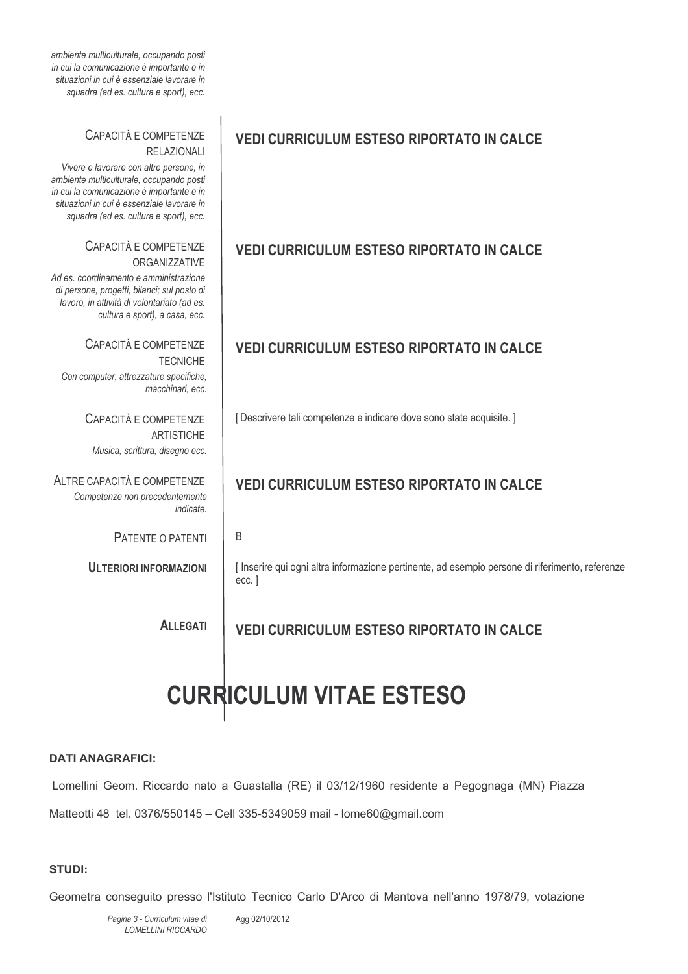| ambiente multiculturale, occupando posti<br>in cui la comunicazione è importante e in<br>situazioni in cui è essenziale lavorare in<br>squadra (ad es. cultura e sport), ecc.                                                                                           |                                                                                                             |
|-------------------------------------------------------------------------------------------------------------------------------------------------------------------------------------------------------------------------------------------------------------------------|-------------------------------------------------------------------------------------------------------------|
| CAPACITÀ E COMPETENZE<br><b>RELAZIONALI</b><br>Vivere e lavorare con altre persone, in<br>ambiente multiculturale, occupando posti<br>in cui la comunicazione è importante e in<br>situazioni in cui è essenziale lavorare in<br>squadra (ad es. cultura e sport), ecc. | <b>VEDI CURRICULUM ESTESO RIPORTATO IN CALCE</b>                                                            |
| CAPACITÀ E COMPETENZE<br>ORGANIZZATIVE<br>Ad es. coordinamento e amministrazione<br>di persone, progetti, bilanci; sul posto di<br>lavoro, in attività di volontariato (ad es.<br>cultura e sport), a casa, ecc.                                                        | <b>VEDI CURRICULUM ESTESO RIPORTATO IN CALCE</b>                                                            |
| CAPACITÀ E COMPETENZE<br><b>TECNICHE</b><br>Con computer, attrezzature specifiche,<br>macchinari, ecc.                                                                                                                                                                  | <b>VEDI CURRICULUM ESTESO RIPORTATO IN CALCE</b>                                                            |
| CAPACITÀ E COMPETENZE<br><b>ARTISTICHE</b><br>Musica, scrittura, disegno ecc.                                                                                                                                                                                           | [Descrivere tali competenze e indicare dove sono state acquisite.]                                          |
| ALTRE CAPACITÀ E COMPETENZE<br>Competenze non precedentemente<br><i>indicate.</i>                                                                                                                                                                                       | <b>VEDI CURRICULUM ESTESO RIPORTATO IN CALCE</b>                                                            |
| PATENTE O PATENTI                                                                                                                                                                                                                                                       | B                                                                                                           |
| <b>ULTERIORI INFORMAZIONI</b>                                                                                                                                                                                                                                           | [ Inserire qui ogni altra informazione pertinente, ad esempio persone di riferimento, referenze<br>$ecc.$ ] |
| <b>ALLEGATI</b>                                                                                                                                                                                                                                                         | <b>VEDI CURRICULUM ESTESO RIPORTATO IN CALCE</b>                                                            |

# **CURRICULUM VITAE ESTESO**

### **DATI ANAGRAFICI:**

Lomellini Geom. Riccardo nato a Guastalla (RE) il 03/12/1960 residente a Pegognaga (MN) Piazza Matteotti 48 tel. 0376/550145 - Cell 335-5349059 mail - lome60@gmail.com

### **STUDI:**

Geometra conseguito presso l'Istituto Tecnico Carlo D'Arco di Mantova nell'anno 1978/79, votazione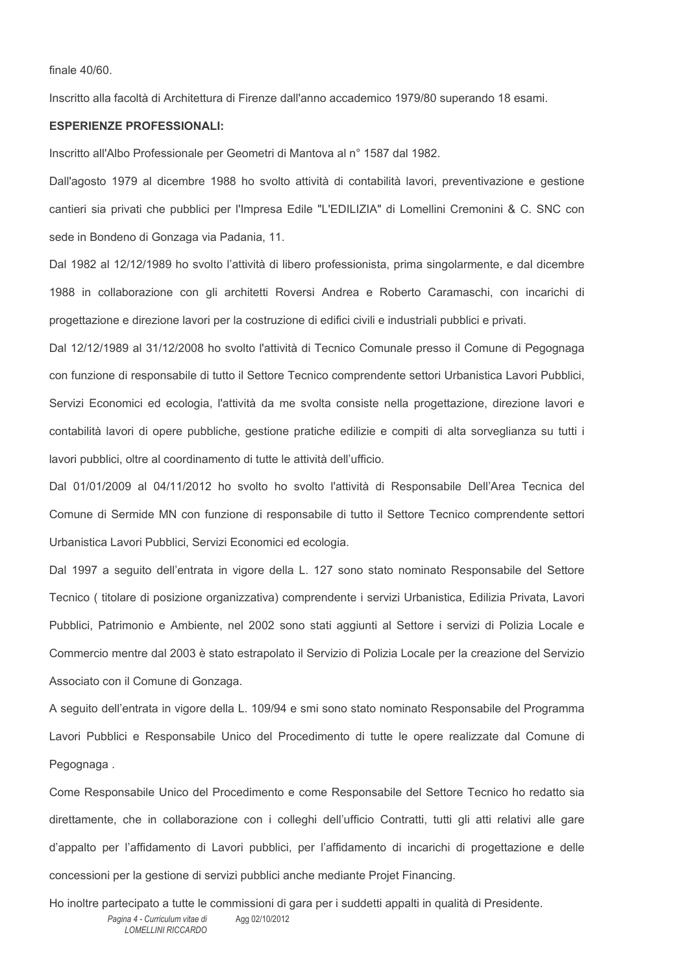finale 40/60.

Inscritto alla facoltà di Architettura di Firenze dall'anno accademico 1979/80 superando 18 esami.

#### **ESPERIENZE PROFESSIONALI:**

Inscritto all'Albo Professionale per Geometri di Mantova al nº 1587 dal 1982.

Dall'agosto 1979 al dicembre 1988 ho svolto attività di contabilità lavori, preventivazione e gestione cantieri sia privati che pubblici per l'Impresa Edile "L'EDILIZIA" di Lomellini Cremonini & C. SNC con sede in Bondeno di Gonzaga via Padania, 11.

Dal 1982 al 12/12/1989 ho svolto l'attività di libero professionista, prima singolarmente, e dal dicembre 1988 in collaborazione con gli architetti Roversi Andrea e Roberto Caramaschi, con incarichi di progettazione e direzione lavori per la costruzione di edifici civili e industriali pubblici e privati.

Dal 12/12/1989 al 31/12/2008 ho svolto l'attività di Tecnico Comunale presso il Comune di Pegognaga con funzione di responsabile di tutto il Settore Tecnico comprendente settori Urbanistica Lavori Pubblici, Servizi Economici ed ecologia, l'attività da me svolta consiste nella progettazione, direzione lavori e contabilità lavori di opere pubbliche, gestione pratiche edilizie e compiti di alta sorveglianza su tutti i lavori pubblici, oltre al coordinamento di tutte le attività dell'ufficio.

Dal 01/01/2009 al 04/11/2012 ho svolto ho svolto l'attività di Responsabile Dell'Area Tecnica del Comune di Sermide MN con funzione di responsabile di tutto il Settore Tecnico comprendente settori Urbanistica Lavori Pubblici, Servizi Economici ed ecologia.

Dal 1997 a seguito dell'entrata in vigore della L. 127 sono stato nominato Responsabile del Settore Tecnico (titolare di posizione organizzativa) comprendente i servizi Urbanistica, Edilizia Privata, Lavori Pubblici, Patrimonio e Ambiente, nel 2002 sono stati aggiunti al Settore i servizi di Polizia Locale e Commercio mentre dal 2003 è stato estrapolato il Servizio di Polizia Locale per la creazione del Servizio Associato con il Comune di Gonzaga.

A seguito dell'entrata in vigore della L. 109/94 e smi sono stato nominato Responsabile del Programma Lavori Pubblici e Responsabile Unico del Procedimento di tutte le opere realizzate dal Comune di Pegognaga.

Come Responsabile Unico del Procedimento e come Responsabile del Settore Tecnico ho redatto sia direttamente, che in collaborazione con i colleghi dell'ufficio Contratti, tutti gli atti relativi alle gare d'appalto per l'affidamento di Lavori pubblici, per l'affidamento di incarichi di progettazione e delle concessioni per la gestione di servizi pubblici anche mediante Projet Financing.

Ho inoltre partecipato a tutte le commissioni di gara per i suddetti appalti in qualità di Presidente. Pagina 4 - Curriculum vitae di Agg 02/10/2012 LOMELL INLRICCARDO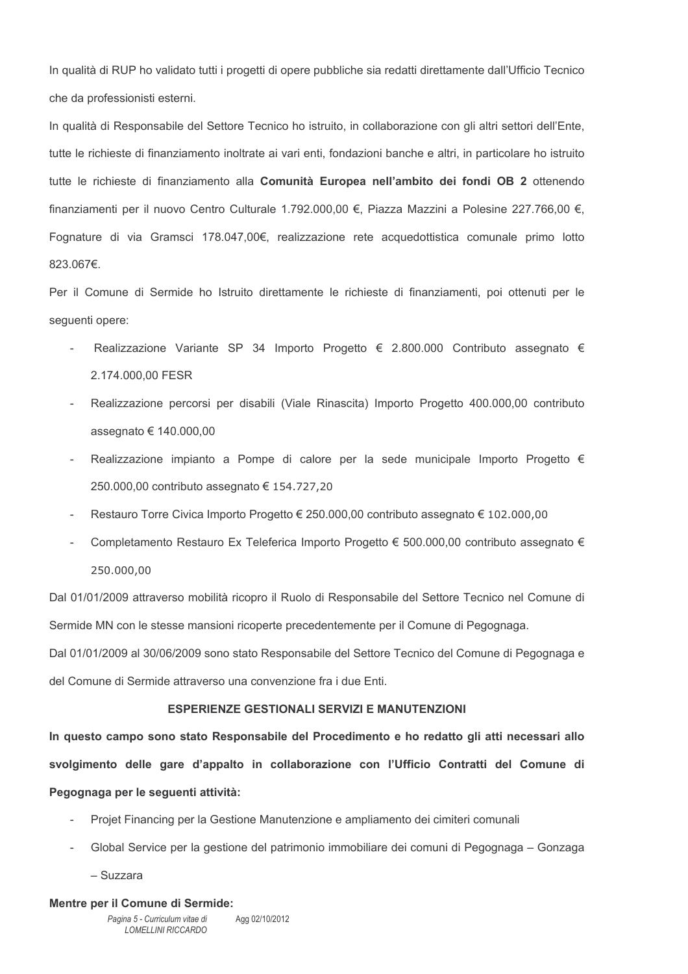In qualità di RUP ho validato tutti i progetti di opere pubbliche sia redatti direttamente dall'Ufficio Tecnico che da professionisti esterni.

In qualità di Responsabile del Settore Tecnico ho istruito, in collaborazione con gli altri settori dell'Ente, tutte le richieste di finanziamento inoltrate ai vari enti, fondazioni banche e altri, in particolare ho istruito tutte le richieste di finanziamento alla Comunità Europea nell'ambito dei fondi OB 2 ottenendo finanziamenti per il nuovo Centro Culturale 1.792.000.00 €, Piazza Mazzini a Polesine 227.766.00 €, Fognature di via Gramsci 178.047,00€, realizzazione rete acquedottistica comunale primo lotto 823.067€.

Per il Comune di Sermide ho Istruito direttamente le richieste di finanziamenti, poi ottenuti per le seguenti opere:

- Realizzazione Variante SP 34 Importo Progetto € 2.800.000 Contributo assegnato € 2.174.000.00 FESR
- Realizzazione percorsi per disabili (Viale Rinascita) Importo Progetto 400.000.00 contributo assegnato € 140.000,00
- Realizzazione impianto a Pompe di calore per la sede municipale Importo Progetto  $\epsilon$  $\sim$ 250.000,00 contributo assegnato € 154.727,20
- Restauro Torre Civica Importo Progetto € 250.000,00 contributo assegnato € 102.000,00  $\overline{a}$
- Completamento Restauro Ex Teleferica Importo Progetto € 500.000.00 contributo assegnato € 250,000,00

Dal 01/01/2009 attraverso mobilità ricopro il Ruolo di Responsabile del Settore Tecnico nel Comune di Sermide MN con le stesse mansioni ricoperte precedentemente per il Comune di Pegognaga.

Dal 01/01/2009 al 30/06/2009 sono stato Responsabile del Settore Tecnico del Comune di Pegognaga e del Comune di Sermide attraverso una convenzione fra i due Enti.

#### **ESPERIENZE GESTIONALI SERVIZI E MANUTENZIONI**

In questo campo sono stato Responsabile del Procedimento e ho redatto gli atti necessari allo svolgimento delle gare d'appalto in collaborazione con l'Ufficio Contratti del Comune di Pegognaga per le sequenti attività:

- Projet Financing per la Gestione Manutenzione e ampliamento dei cimiteri comunali  $\mathcal{L}^{\mathcal{A}}$
- Global Service per la gestione del patrimonio immobiliare dei comuni di Pegognaga Gonzaga

- Suzzara

#### Mentre per il Comune di Sermide: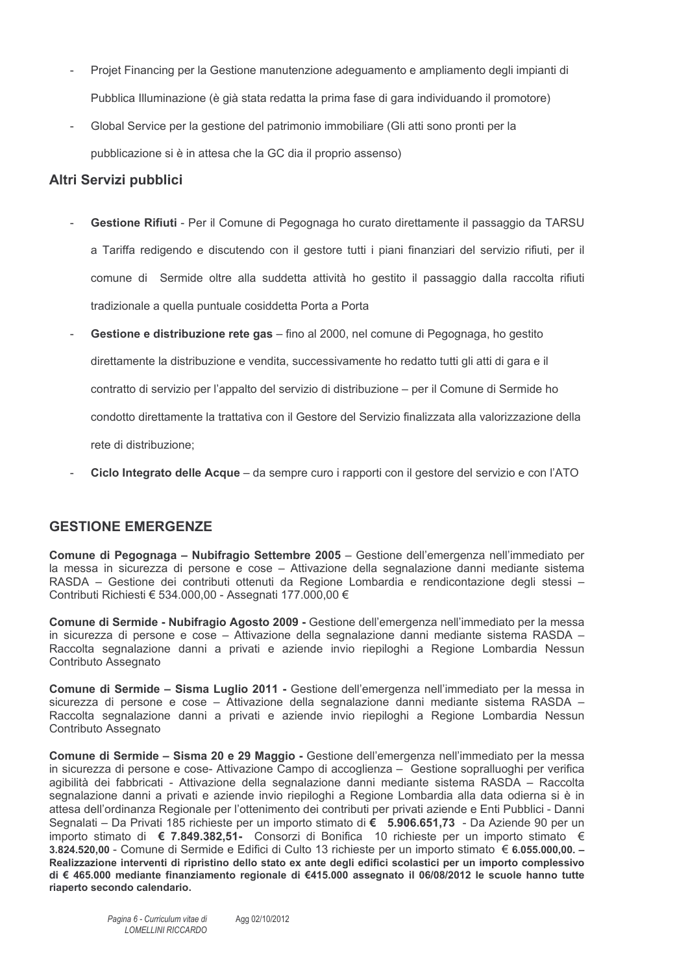- Projet Financing per la Gestione manutenzione adeguamento e ampliamento degli impianti di Pubblica Illuminazione (è già stata redatta la prima fase di gara individuando il promotore)
- Global Service per la gestione del patrimonio immobiliare (Gli atti sono pronti per la pubblicazione si è in attesa che la GC dia il proprio assenso)

# Altri Servizi pubblici

- Gestione Rifiuti Per il Comune di Pegognaga ho curato direttamente il passaggio da TARSU a Tariffa redigendo e discutendo con il gestore tutti i piani finanziari del servizio rifiuti, per il comune di Sermide oltre alla suddetta attività ho gestito il passaggio dalla raccolta rifiuti tradizionale a quella puntuale cosiddetta Porta a Porta
- Gestione e distribuzione rete gas fino al 2000, nel comune di Pegognaga, ho gestito direttamente la distribuzione e vendita, successivamente ho redatto tutti gli atti di gara e il contratto di servizio per l'appalto del servizio di distribuzione – per il Comune di Sermide ho condotto direttamente la trattativa con il Gestore del Servizio finalizzata alla valorizzazione della rete di distribuzione;
- Ciclo Integrato delle Acque da sempre curo i rapporti con il gestore del servizio e con l'ATO

# **GESTIONE EMERGENZE**

Comune di Pegognaga - Nubifragio Settembre 2005 - Gestione dell'emergenza nell'immediato per la messa in sicurezza di persone e cose - Attivazione della segnalazione danni mediante sistema RASDA - Gestione dei contributi ottenuti da Regione Lombardia e rendicontazione degli stessi -Contributi Richiesti € 534.000,00 - Assegnati 177.000,00 €

Comune di Sermide - Nubifragio Agosto 2009 - Gestione dell'emergenza nell'immediato per la messa in sicurezza di persone e cose - Attivazione della segnalazione danni mediante sistema RASDA -Raccolta segnalazione danni a privati e aziende invio riepiloghi a Regione Lombardia Nessun Contributo Assegnato

Comune di Sermide - Sisma Luglio 2011 - Gestione dell'emergenza nell'immediato per la messa in sicurezza di persone e cose - Attivazione della segnalazione danni mediante sistema RASDA -Raccolta segnalazione danni a privati e aziende invio riepiloghi a Regione Lombardia Nessun Contributo Assegnato

Comune di Sermide - Sisma 20 e 29 Maggio - Gestione dell'emergenza nell'immediato per la messa in sicurezza di persone e cose- Attivazione Campo di accoglienza – Gestione sopralluoghi per verifica agibilità dei fabbricati - Attivazione della segnalazione danni mediante sistema RASDA - Raccolta segnalazione danni a privati e aziende invio riepiloghi a Regione Lombardia alla data odierna si è in attesa dell'ordinanza Regionale per l'ottenimento dei contributi per privati aziende e Enti Pubblici - Danni Segnalati – Da Privati 185 richieste per un importo stimato di € 5.906.651,73 - Da Aziende 90 per un importo stimato di € 7.849.382,51- Consorzi di Bonifica 10 richieste per un importo stimato € 3.824.520.00 - Comune di Sermide e Edifici di Culto 13 richieste per un importo stimato € 6.055.000.00. -Realizzazione interventi di ripristino dello stato ex ante degli edifici scolastici per un importo complessivo di € 465.000 mediante finanziamento regionale di €415.000 assegnato il 06/08/2012 le scuole hanno tutte riaperto secondo calendario.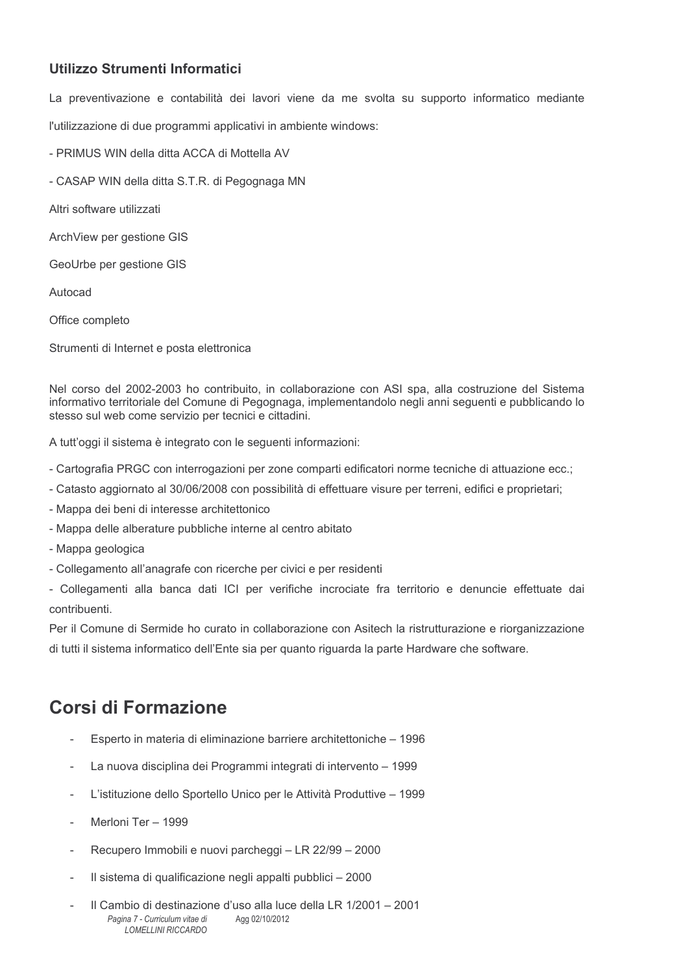# Utilizzo Strumenti Informatici

La preventivazione e contabilità dei lavori viene da me svolta su supporto informatico mediante

l'utilizzazione di due programmi applicativi in ambiente windows:

- PRIMUS WIN della ditta ACCA di Mottella AV

- CASAP WIN della ditta S.T.R. di Pegognaga MN

Altri software utilizzati

ArchView per gestione GIS

GeoUrbe per gestione GIS

Autocad

Office completo

Strumenti di Internet e posta elettronica

Nel corso del 2002-2003 ho contribuito, in collaborazione con ASI spa, alla costruzione del Sistema informativo territoriale del Comune di Pegognaga, implementandolo negli anni seguenti e pubblicando lo stesso sul web come servizio per tecnici e cittadini.

A tutt'oggi il sistema è integrato con le seguenti informazioni:

- Cartografia PRGC con interrogazioni per zone comparti edificatori norme tecniche di attuazione ecc.;
- Catasto aggiornato al 30/06/2008 con possibilità di effettuare visure per terreni, edifici e proprietari:
- Mappa dei beni di interesse architettonico
- Mappa delle alberature pubbliche interne al centro abitato
- Mappa geologica
- Collegamento all'anagrafe con ricerche per civici e per residenti

- Collegamenti alla banca dati ICI per verifiche incrociate fra territorio e denuncie effettuate dai contribuenti.

Per il Comune di Sermide ho curato in collaborazione con Asitech la ristrutturazione e riorganizzazione di tutti il sistema informatico dell'Ente sia per quanto riguarda la parte Hardware che software.

# Corsi di Formazione

- Esperto in materia di eliminazione barriere architettoniche 1996
- La nuova disciplina dei Programmi integrati di intervento 1999
- L'istituzione dello Sportello Unico per le Attività Produttive 1999  $\overline{a}$
- Merloni Ter 1999
- Recupero Immobili e nuovi parcheggi LR 22/99 2000
- Il sistema di qualificazione negli appalti pubblici 2000  $\overline{\phantom{a}}$
- Il Cambio di destinazione d'uso alla luce della LR 1/2001 2001 Pagina 7 - Curriculum vitae di Agg 02/10/2012 LOMELL INLRICCARDO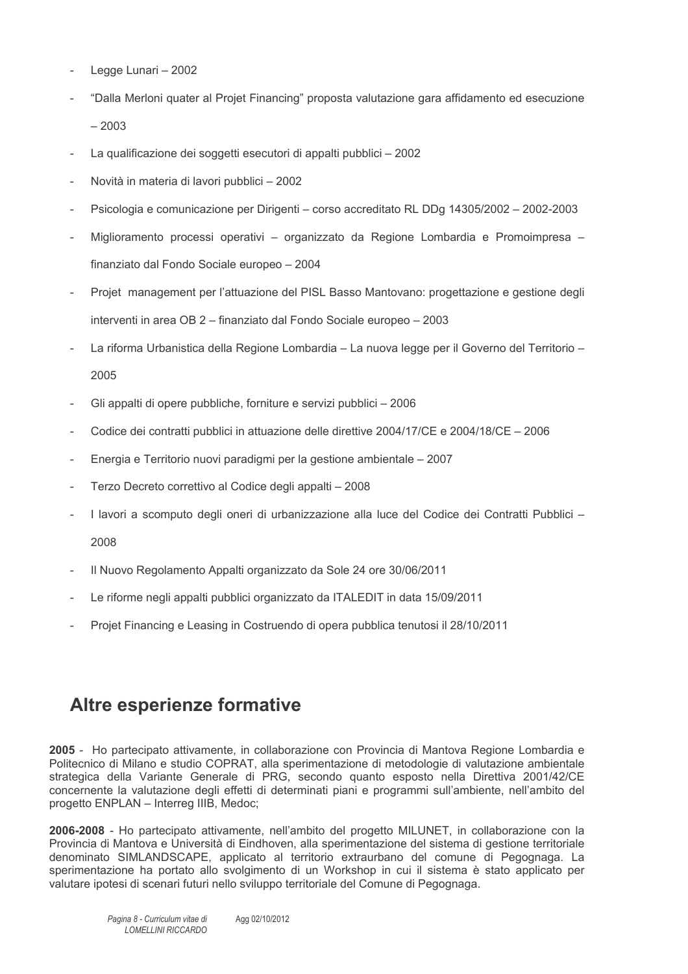- Legge Lunari 2002
- "Dalla Merloni quater al Projet Financing" proposta valutazione gara affidamento ed esecuzione  $-2003$
- La qualificazione dei soggetti esecutori di appalti pubblici 2002
- Novità in materia di lavori pubblici 2002
- Psicologia e comunicazione per Dirigenti corso accreditato RL DDg 14305/2002 2002-2003  $\overline{a}$
- Miglioramento processi operativi organizzato da Regione Lombardia e Promoimpresa finanziato dal Fondo Sociale europeo - 2004
- Projet management per l'attuazione del PISL Basso Mantovano: progettazione e gestione degli interventi in area OB 2 - finanziato dal Fondo Sociale europeo - 2003
- La riforma Urbanistica della Regione Lombardia La nuova legge per il Governo del Territorio -2005
- Gli appalti di opere pubbliche, forniture e servizi pubblici 2006
- Codice dei contratti pubblici in attuazione delle direttive 2004/17/CE e 2004/18/CE 2006
- Energia e Territorio nuovi paradigmi per la gestione ambientale 2007
- Terzo Decreto correttivo al Codice degli appalti 2008
- I lavori a scomputo degli oneri di urbanizzazione alla luce del Codice dei Contratti Pubblici - $\overline{a}$ 2008
- Il Nuovo Regolamento Appalti organizzato da Sole 24 ore 30/06/2011
- Le riforme negli appalti pubblici organizzato da ITALEDIT in data 15/09/2011
- Projet Financing e Leasing in Costruendo di opera pubblica tenutosi il 28/10/2011

# **Altre esperienze formative**

2005 - Ho partecipato attivamente, in collaborazione con Provincia di Mantova Regione Lombardia e Politecnico di Milano e studio COPRAT, alla sperimentazione di metodologie di valutazione ambientale strategica della Variante Generale di PRG, secondo quanto esposto nella Direttiva 2001/42/CE concernente la valutazione degli effetti di determinati piani e programmi sull'ambiente, nell'ambito del progetto ENPLAN - Interreg IIIB, Medoc;

2006-2008 - Ho partecipato attivamente, nell'ambito del progetto MILUNET, in collaborazione con la Provincia di Mantova e Università di Eindhoven, alla sperimentazione del sistema di gestione territoriale denominato SIMLANDSCAPE, applicato al territorio extraurbano del comune di Pegognaga. La sperimentazione ha portato allo svolgimento di un Workshop in cui il sistema è stato applicato per valutare ipotesi di scenari futuri nello sviluppo territoriale del Comune di Pegognaga.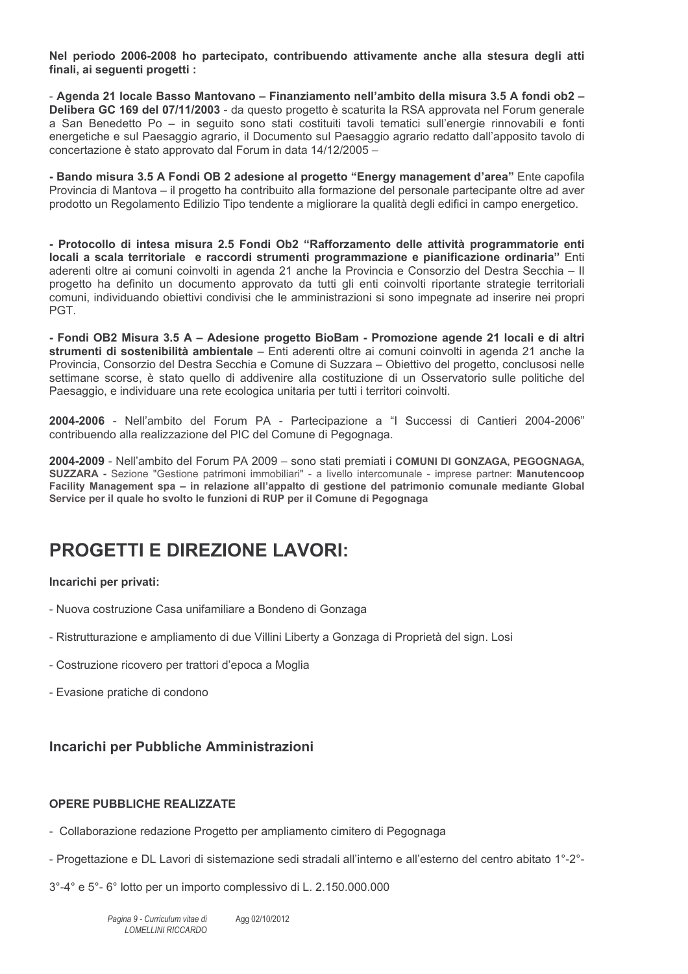Nel periodo 2006-2008 ho partecipato, contribuendo attivamente anche alla stesura degli atti finali, ai seguenti progetti :

- Agenda 21 locale Basso Mantovano - Finanziamento nell'ambito della misura 3.5 A fondi ob2 -Delibera GC 169 del 07/11/2003 - da questo progetto è scaturita la RSA approvata nel Forum generale a San Benedetto Po - in seguito sono stati costituiti tavoli tematici sull'energie rinnovabili e fonti energetiche e sul Paesaggio agrario, il Documento sul Paesaggio agrario redatto dall'apposito tavolo di concertazione è stato approvato dal Forum in data 14/12/2005 –

- Bando misura 3.5 A Fondi OB 2 adesione al progetto "Energy management d'area" Ente capofila Provincia di Mantova – il progetto ha contribuito alla formazione del personale partecipante oltre ad aver prodotto un Regolamento Edilizio Tipo tendente a migliorare la qualità degli edifici in campo energetico.

- Protocollo di intesa misura 2.5 Fondi Ob2 "Rafforzamento delle attività programmatorie enti locali a scala territoriale e raccordi strumenti programmazione e pianificazione ordinaria" Enti aderenti oltre ai comuni coinvolti in agenda 21 anche la Provincia e Consorzio del Destra Secchia - Il progetto ha definito un documento approvato da tutti gli enti coinvolti riportante strategie territoriali comuni, individuando obiettivi condivisi che le amministrazioni si sono impegnate ad inserire nei propri PGT.

- Fondi OB2 Misura 3.5 A - Adesione progetto BioBam - Promozione agende 21 locali e di altri strumenti di sostenibilità ambientale - Enti aderenti oltre ai comuni coinvolti in agenda 21 anche la Provincia, Consorzio del Destra Secchia e Comune di Suzzara – Obiettivo del progetto, conclusosi nelle settimane scorse, è stato quello di addivenire alla costituzione di un Osservatorio sulle politiche del Paesaggio, e individuare una rete ecologica unitaria per tutti i territori coinvolti.

2004-2006 - Nell'ambito del Forum PA - Partecipazione a "I Successi di Cantieri 2004-2006" contribuendo alla realizzazione del PIC del Comune di Pegognaga.

2004-2009 - Nell'ambito del Forum PA 2009 - sono stati premiati i COMUNI DI GONZAGA. PEGOGNAGA. SUZZARA - Sezione "Gestione patrimoni immobiliari" - a livello intercomunale - imprese partner: Manutencoop Facility Management spa - in relazione all'appalto di gestione del patrimonio comunale mediante Global Service per il quale ho svolto le funzioni di RUP per il Comune di Pegognaga

# **PROGETTI E DIREZIONE LAVORI:**

#### Incarichi per privati:

- Nuova costruzione Casa unifamiliare a Bondeno di Gonzaga
- Ristrutturazione e ampliamento di due Villini Liberty a Gonzaga di Proprietà del sign. Losi
- Costruzione ricovero per trattori d'epoca a Moglia
- Evasione pratiche di condono

# Incarichi per Pubbliche Amministrazioni

### **OPERE PUBBLICHE REALIZZATE**

- Collaborazione redazione Progetto per ampliamento cimitero di Pegognaga
- Progettazione e DL Lavori di sistemazione sedi stradali all'interno e all'esterno del centro abitato 1°-2°-
- 3°-4° e 5°-6° lotto per un importo complessivo di L. 2.150.000.000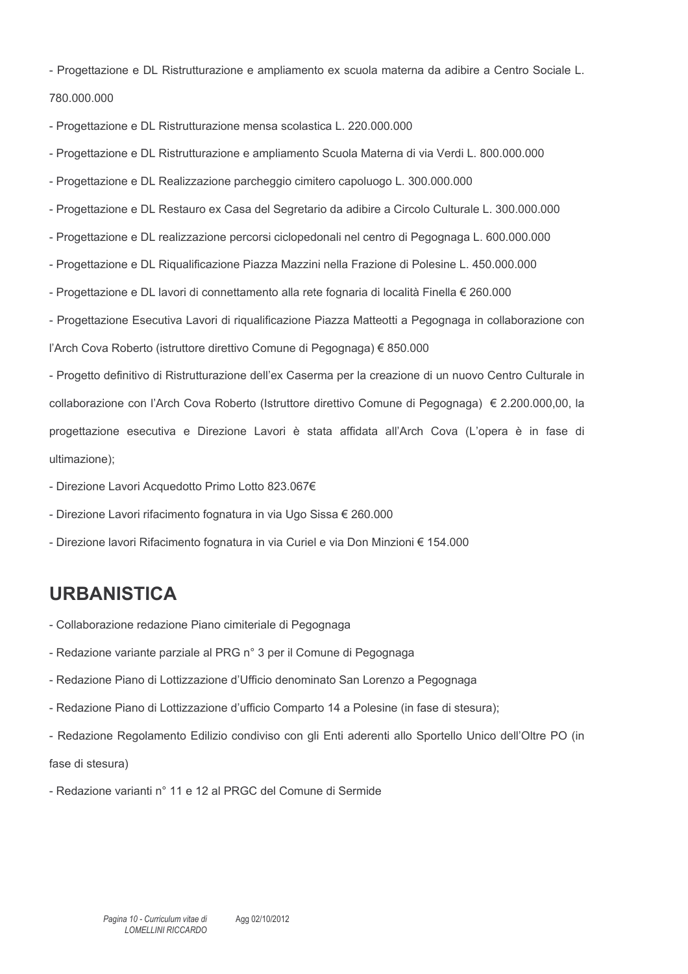- Progettazione e DL Ristrutturazione e ampliamento ex scuola materna da adibire a Centro Sociale L. 780,000,000
- Progettazione e DL Ristrutturazione mensa scolastica L. 220.000.000
- Progettazione e DL Ristrutturazione e ampliamento Scuola Materna di via Verdi L. 800.000.000
- Progettazione e DL Realizzazione parcheggio cimitero capoluogo L. 300.000.000
- Progettazione e DL Restauro ex Casa del Segretario da adibire a Circolo Culturale L. 300.000.000
- Progettazione e DL realizzazione percorsi ciclopedonali nel centro di Pegognaga L. 600.000.000
- Progettazione e DL Riqualificazione Piazza Mazzini nella Frazione di Polesine L. 450.000.000
- Progettazione e DL lavori di connettamento alla rete fognaria di località Finella € 260.000

- Progettazione Esecutiva Lavori di riqualificazione Piazza Matteotti a Pegognaga in collaborazione con l'Arch Cova Roberto (istruttore direttivo Comune di Pegognaga) € 850.000

- Progetto definitivo di Ristrutturazione dell'ex Caserma per la creazione di un nuovo Centro Culturale in collaborazione con l'Arch Cova Roberto (Istruttore direttivo Comune di Pegognaga) € 2.200.000.00, la progettazione esecutiva e Direzione Lavori è stata affidata all'Arch Cova (L'opera è in fase di ultimazione);

- Direzione Lavori Acquedotto Primo Lotto 823.067€
- Direzione Lavori rifacimento fognatura in via Ugo Sissa € 260.000
- Direzione lavori Rifacimento fognatura in via Curiel e via Don Minzioni € 154.000

# **URBANISTICA**

- Collaborazione redazione Piano cimiteriale di Pegognaga
- Redazione variante parziale al PRG n° 3 per il Comune di Pegognaga
- Redazione Piano di Lottizzazione d'Ufficio denominato San Lorenzo a Pegognaga
- Redazione Piano di Lottizzazione d'ufficio Comparto 14 a Polesine (in fase di stesura);
- Redazione Regolamento Edilizio condiviso con gli Enti aderenti allo Sportello Unico dell'Oltre PO (in

fase di stesura)

- Redazione varianti nº 11 e 12 al PRGC del Comune di Sermide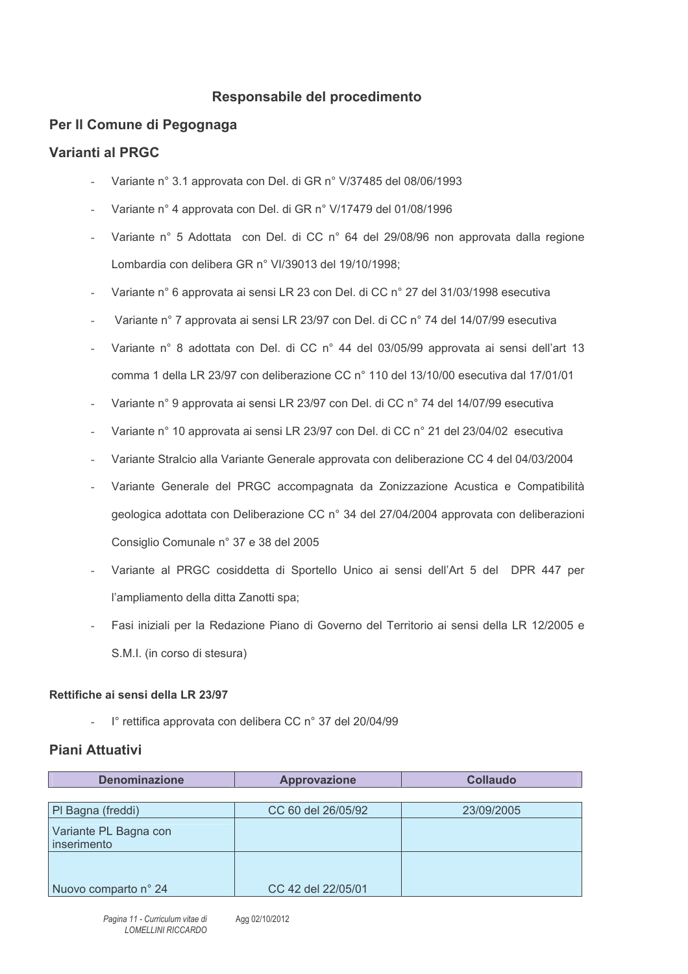# Responsabile del procedimento

# Per Il Comune di Pegognaga

# Varianti al PRGC

- Variante nº 3.1 approvata con Del. di GR nº V/37485 del 08/06/1993
- Variante nº 4 approvata con Del. di GR nº V/17479 del 01/08/1996
- Variante nº 5 Adottata con Del. di CC nº 64 del 29/08/96 non approvata dalla regione Lombardia con delibera GR n° VI/39013 del 19/10/1998;
- Variante n° 6 approvata ai sensi LR 23 con Del. di CC n° 27 del 31/03/1998 esecutiva
- Variante nº 7 approvata ai sensi LR 23/97 con Del. di CC nº 74 del 14/07/99 esecutiva
- Variante n° 8 adottata con Del. di CC n° 44 del 03/05/99 approvata ai sensi dell'art 13 comma 1 della LR 23/97 con deliberazione CC n° 110 del 13/10/00 esecutiva dal 17/01/01
- Variante n° 9 approvata ai sensi LR 23/97 con Del. di CC n° 74 del 14/07/99 esecutiva
- Variante nº 10 approvata ai sensi LR 23/97 con Del. di CC nº 21 del 23/04/02 esecutiva
- Variante Stralcio alla Variante Generale approvata con deliberazione CC 4 del 04/03/2004
- Variante Generale del PRGC accompagnata da Zonizzazione Acustica e Compatibilità geologica adottata con Deliberazione CC n° 34 del 27/04/2004 approvata con deliberazioni Consiglio Comunale n° 37 e 38 del 2005
- Variante al PRGC cosiddetta di Sportello Unico ai sensi dell'Art 5 del DPR 447 per l'ampliamento della ditta Zanotti spa;
- Fasi iniziali per la Redazione Piano di Governo del Territorio ai sensi della LR 12/2005 e S.M.I. (in corso di stesura)

### Rettifiche ai sensi della LR 23/97

l° rettifica approvata con delibera CC n° 37 del 20/04/99

# **Piani Attuativi**

| <b>Denominazione</b>                 | <b>Approvazione</b> | <b>Collaudo</b> |
|--------------------------------------|---------------------|-----------------|
|                                      |                     |                 |
| PI Bagna (freddi)                    | CC 60 del 26/05/92  | 23/09/2005      |
| Variante PL Bagna con<br>inserimento |                     |                 |
|                                      |                     |                 |
| Nuovo comparto nº 24                 | CC 42 del 22/05/01  |                 |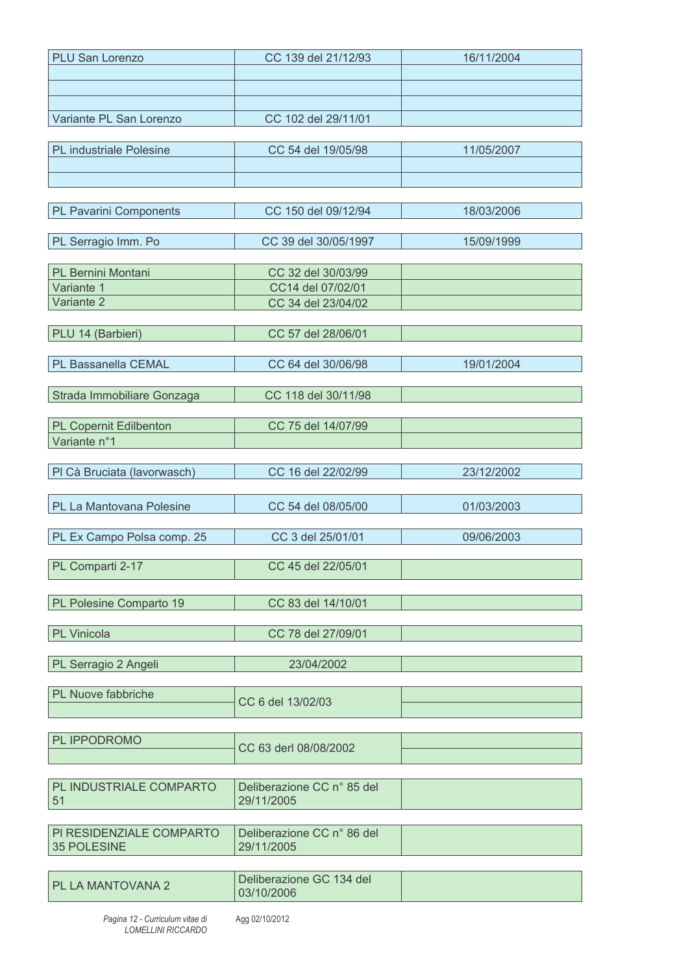| <b>PLU San Lorenzo</b>         | CC 139 del 21/12/93                      | 16/11/2004 |
|--------------------------------|------------------------------------------|------------|
|                                |                                          |            |
|                                |                                          |            |
|                                |                                          |            |
| Variante PL San Lorenzo        | CC 102 del 29/11/01                      |            |
|                                |                                          |            |
| <b>PL</b> industriale Polesine | CC 54 del 19/05/98                       | 11/05/2007 |
|                                |                                          |            |
|                                |                                          |            |
|                                |                                          |            |
| <b>PL Pavarini Components</b>  | CC 150 del 09/12/94                      | 18/03/2006 |
| PL Serragio Imm. Po            | CC 39 del 30/05/1997                     | 15/09/1999 |
|                                |                                          |            |
| PL Bernini Montani             | CC 32 del 30/03/99                       |            |
| Variante 1                     | CC14 del 07/02/01                        |            |
| Variante 2                     | CC 34 del 23/04/02                       |            |
|                                |                                          |            |
| PLU 14 (Barbieri)              | CC 57 del 28/06/01                       |            |
|                                |                                          |            |
| PL Bassanella CEMAL            | CC 64 del 30/06/98                       | 19/01/2004 |
|                                |                                          |            |
| Strada Immobiliare Gonzaga     | CC 118 del 30/11/98                      |            |
|                                |                                          |            |
| PL Copernit Edilbenton         | CC 75 del 14/07/99                       |            |
| Variante n°1                   |                                          |            |
|                                | CC 16 del 22/02/99                       |            |
| PI Cà Bruciata (lavorwasch)    |                                          | 23/12/2002 |
|                                |                                          |            |
| PL La Mantovana Polesine       | CC 54 del 08/05/00                       | 01/03/2003 |
| PL Ex Campo Polsa comp. 25     | CC 3 del 25/01/01                        | 09/06/2003 |
|                                |                                          |            |
| PL Comparti 2-17               | CC 45 del 22/05/01                       |            |
|                                |                                          |            |
| PL Polesine Comparto 19        | CC 83 del 14/10/01                       |            |
|                                |                                          |            |
| <b>PL Vinicola</b>             | CC 78 del 27/09/01                       |            |
|                                |                                          |            |
| PL Serragio 2 Angeli           | 23/04/2002                               |            |
|                                |                                          |            |
| PL Nuove fabbriche             | CC 6 del 13/02/03                        |            |
|                                |                                          |            |
|                                |                                          |            |
| PL IPPODROMO                   | CC 63 derl 08/08/2002                    |            |
|                                |                                          |            |
|                                |                                          |            |
| PL INDUSTRIALE COMPARTO<br>51  | Deliberazione CC n° 85 del<br>29/11/2005 |            |
|                                |                                          |            |
| PI RESIDENZIALE COMPARTO       | Deliberazione CC n° 86 del               |            |
| <b>35 POLESINE</b>             | 29/11/2005                               |            |
|                                |                                          |            |
|                                | Deliberazione GC 134 del                 |            |
| PL LA MANTOVANA 2              | 03/10/2006                               |            |
|                                |                                          |            |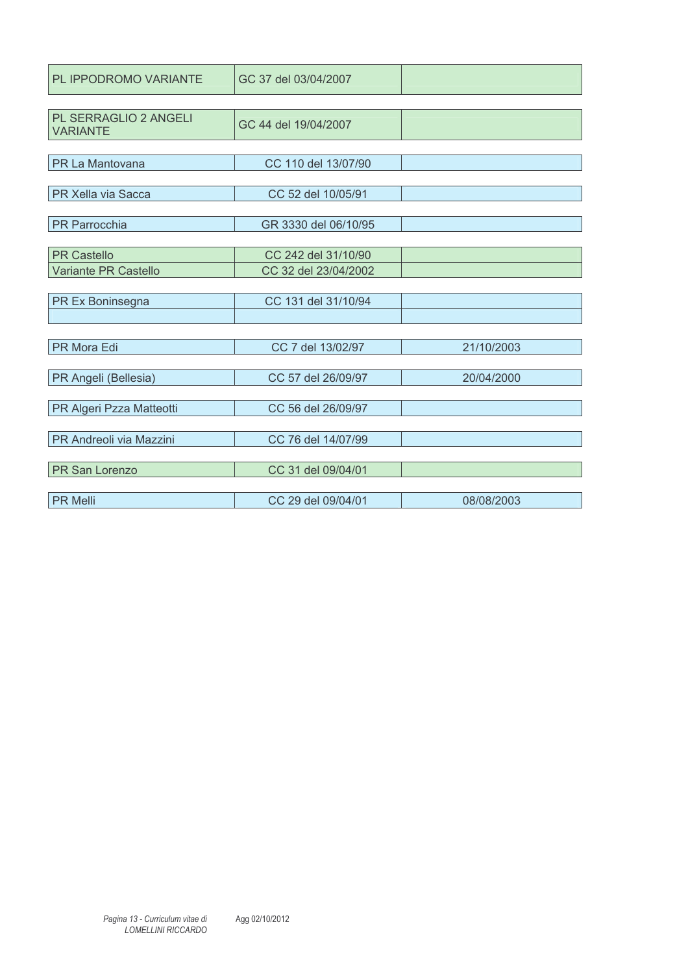| PL IPPODROMO VARIANTE                    | GC 37 del 03/04/2007 |            |
|------------------------------------------|----------------------|------------|
|                                          |                      |            |
| PL SERRAGLIO 2 ANGELI<br><b>VARIANTE</b> | GC 44 del 19/04/2007 |            |
|                                          |                      |            |
| PR La Mantovana                          | CC 110 del 13/07/90  |            |
|                                          |                      |            |
| PR Xella via Sacca                       | CC 52 del 10/05/91   |            |
|                                          |                      |            |
| PR Parrocchia                            | GR 3330 del 06/10/95 |            |
|                                          |                      |            |
| <b>PR Castello</b>                       | CC 242 del 31/10/90  |            |
| Variante PR Castello                     | CC 32 del 23/04/2002 |            |
|                                          |                      |            |
| PR Ex Boninsegna                         | CC 131 del 31/10/94  |            |
|                                          |                      |            |
|                                          |                      |            |
| PR Mora Edi                              | CC 7 del 13/02/97    | 21/10/2003 |
|                                          |                      |            |
| PR Angeli (Bellesia)                     | CC 57 del 26/09/97   | 20/04/2000 |
|                                          |                      |            |
| PR Algeri Pzza Matteotti                 | CC 56 del 26/09/97   |            |
|                                          |                      |            |
| PR Andreoli via Mazzini                  | CC 76 del 14/07/99   |            |
|                                          |                      |            |
| <b>PR</b> San Lorenzo                    | CC 31 del 09/04/01   |            |
|                                          |                      |            |
| <b>PR Melli</b>                          | CC 29 del 09/04/01   | 08/08/2003 |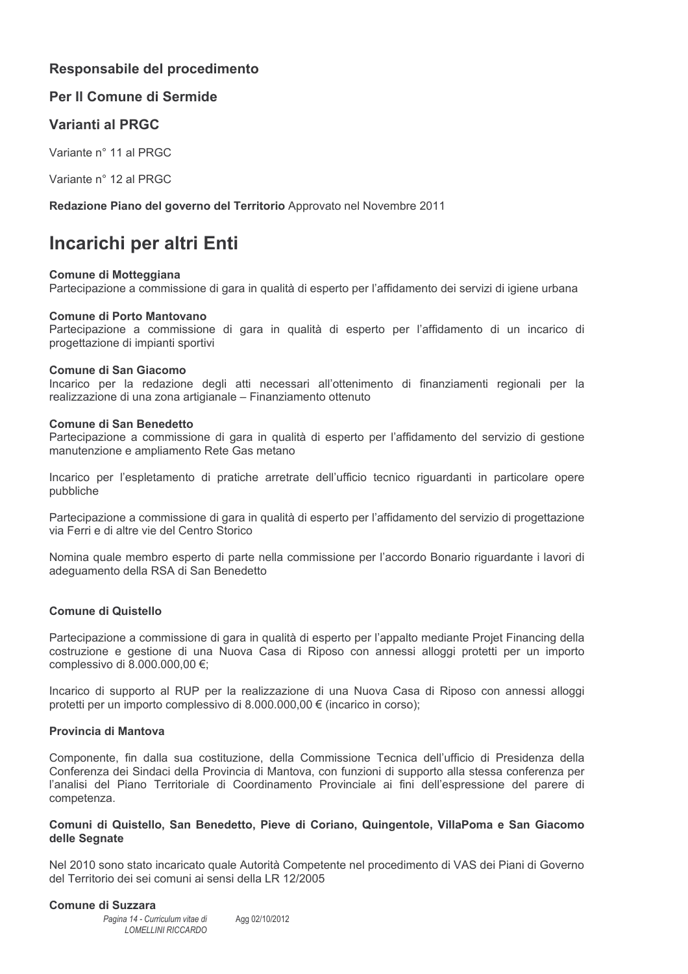# Responsabile del procedimento

# Per Il Comune di Sermide

# Varianti al PRGC

Variante n° 11 al PRGC

Variante n° 12 al PRGC

Redazione Piano del governo del Territorio Approvato nel Novembre 2011

# Incarichi per altri Enti

#### **Comune di Motteggiana**

Partecipazione a commissione di gara in qualità di esperto per l'affidamento dei servizi di igiene urbana

#### Comune di Porto Mantovano

Partecipazione a commissione di gara in qualità di esperto per l'affidamento di un incarico di progettazione di impianti sportivi

#### Comune di San Giacomo

Incarico per la redazione degli atti necessari all'ottenimento di finanziamenti regionali per la realizzazione di una zona artigianale - Finanziamento ottenuto

#### **Comune di San Benedetto**

Partecipazione a commissione di gara in qualità di esperto per l'affidamento del servizio di gestione manutenzione e ampliamento Rete Gas metano

Incarico per l'espletamento di pratiche arretrate dell'ufficio tecnico riguardanti in particolare opere pubbliche

Partecipazione a commissione di gara in qualità di esperto per l'affidamento del servizio di progettazione via Ferri e di altre vie del Centro Storico

Nomina quale membro esperto di parte nella commissione per l'accordo Bonario riguardante i lavori di adequamento della RSA di San Benedetto

#### **Comune di Quistello**

Partecipazione a commissione di gara in qualità di esperto per l'appalto mediante Projet Financing della costruzione e gestione di una Nuova Casa di Riposo con annessi alloggi protetti per un importo complessivo di 8.000.000,00 €;

Incarico di supporto al RUP per la realizzazione di una Nuova Casa di Riposo con annessi alloggi protetti per un importo complessivo di 8.000.000.00 € (incarico in corso);

### Provincia di Mantova

Componente, fin dalla sua costituzione, della Commissione Tecnica dell'ufficio di Presidenza della Conferenza dei Sindaci della Provincia di Mantova, con funzioni di supporto alla stessa conferenza per l'analisi del Piano Territoriale di Coordinamento Provinciale ai fini dell'espressione del parere di competenza.

#### Comuni di Quistello, San Benedetto, Pieve di Coriano, Quingentole, VillaPoma e San Giacomo delle Segnate

Nel 2010 sono stato incaricato quale Autorità Competente nel procedimento di VAS dei Piani di Governo del Territorio dei sei comuni ai sensi della LR 12/2005

#### **Comune di Suzzara**